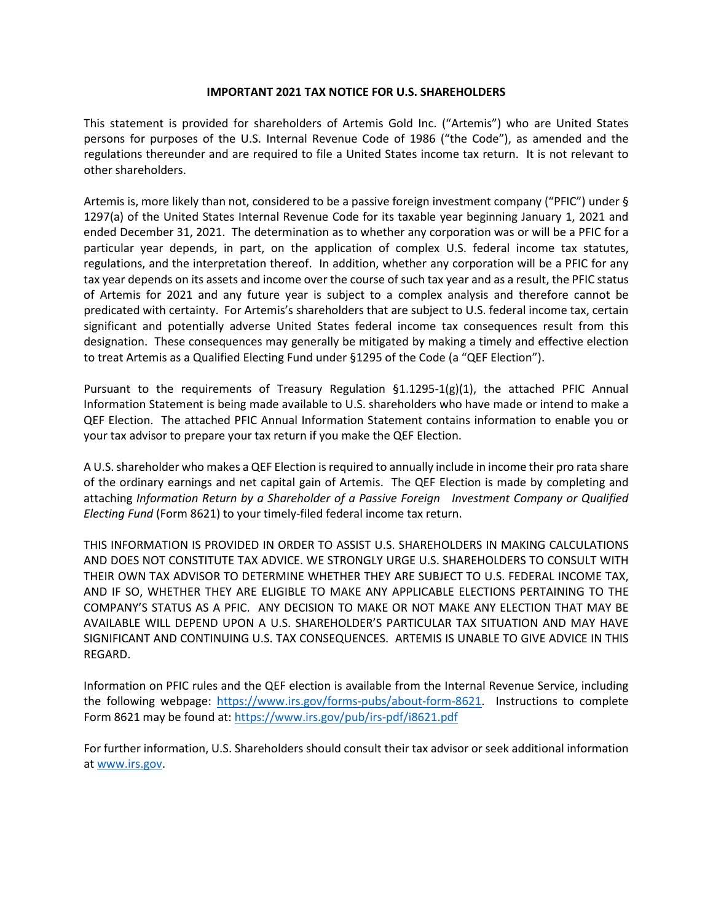## **IMPORTANT 2021 TAX NOTICE FOR U.S. SHAREHOLDERS**

This statement is provided for shareholders of Artemis Gold Inc. ("Artemis") who are United States persons for purposes of the U.S. Internal Revenue Code of 1986 ("the Code"), as amended and the regulations thereunder and are required to file a United States income tax return. It is not relevant to other shareholders.

Artemis is, more likely than not, considered to be a passive foreign investment company ("PFIC") under § 1297(a) of the United States Internal Revenue Code for its taxable year beginning January 1, 2021 and ended December 31, 2021. The determination as to whether any corporation was or will be a PFIC for a particular year depends, in part, on the application of complex U.S. federal income tax statutes, regulations, and the interpretation thereof. In addition, whether any corporation will be a PFIC for any tax year depends on its assets and income over the course of such tax year and as a result, the PFIC status of Artemis for 2021 and any future year is subject to a complex analysis and therefore cannot be predicated with certainty. For Artemis's shareholders that are subject to U.S. federal income tax, certain significant and potentially adverse United States federal income tax consequences result from this designation. These consequences may generally be mitigated by making a timely and effective election to treat Artemis as a Qualified Electing Fund under §1295 of the Code (a "QEF Election").

Pursuant to the requirements of Treasury Regulation §1.1295-1(g)(1), the attached PFIC Annual Information Statement is being made available to U.S. shareholders who have made or intend to make a QEF Election. The attached PFIC Annual Information Statement contains information to enable you or your tax advisor to prepare your tax return if you make the QEF Election.

A U.S. shareholder who makes a QEF Election is required to annually include in income their pro rata share of the ordinary earnings and net capital gain of Artemis. The QEF Election is made by completing and attaching *Information Return by a Shareholder of a Passive Foreign Investment Company or Qualified Electing Fund* (Form 8621) to your timely-filed federal income tax return.

THIS INFORMATION IS PROVIDED IN ORDER TO ASSIST U.S. SHAREHOLDERS IN MAKING CALCULATIONS AND DOES NOT CONSTITUTE TAX ADVICE. WE STRONGLY URGE U.S. SHAREHOLDERS TO CONSULT WITH THEIR OWN TAX ADVISOR TO DETERMINE WHETHER THEY ARE SUBJECT TO U.S. FEDERAL INCOME TAX, AND IF SO, WHETHER THEY ARE ELIGIBLE TO MAKE ANY APPLICABLE ELECTIONS PERTAINING TO THE COMPANY'S STATUS AS A PFIC. ANY DECISION TO MAKE OR NOT MAKE ANY ELECTION THAT MAY BE AVAILABLE WILL DEPEND UPON A U.S. SHAREHOLDER'S PARTICULAR TAX SITUATION AND MAY HAVE SIGNIFICANT AND CONTINUING U.S. TAX CONSEQUENCES. ARTEMIS IS UNABLE TO GIVE ADVICE IN THIS REGARD.

Information on PFIC rules and the QEF election is available from the Internal Revenue Service, including the following webpage: https://www.irs.gov/forms-pubs/about-form-8621. Instructions to complete Form 8621 may be found at: https://www.irs.gov/pub/irs-pdf/i8621.pdf

For further information, U.S. Shareholders should consult their tax advisor or seek additional information at [www.irs.gov.](http://www.irs.gov/)